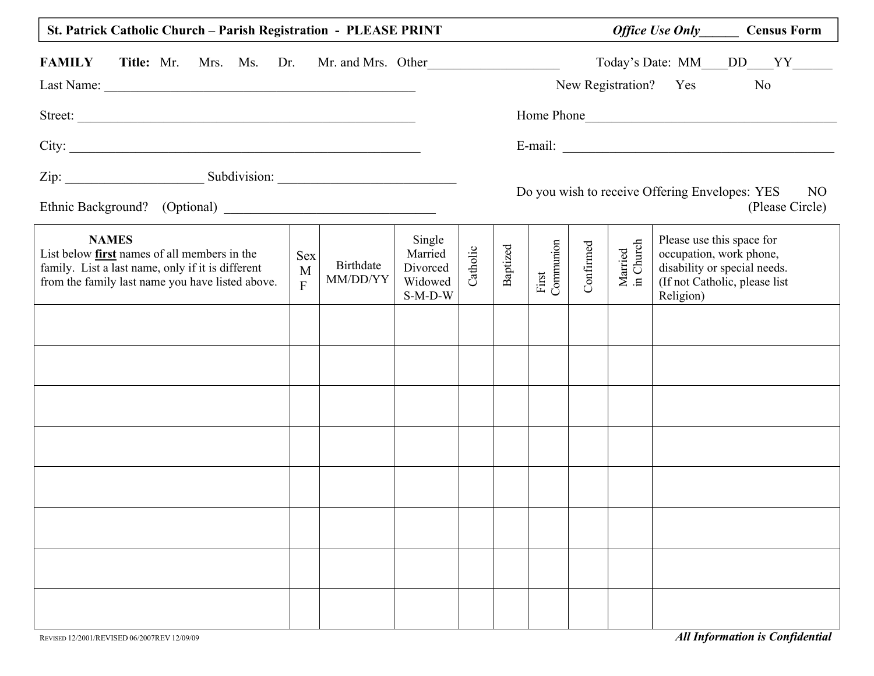| St. Patrick Catholic Church - Parish Registration - PLEASE PRINT                                                                                                      |                                            |                       |                                                       |          |          |                    |           |                      |                                                                   | <i>Office Use Only</i> Census Form                            |  |
|-----------------------------------------------------------------------------------------------------------------------------------------------------------------------|--------------------------------------------|-----------------------|-------------------------------------------------------|----------|----------|--------------------|-----------|----------------------|-------------------------------------------------------------------|---------------------------------------------------------------|--|
| <b>FAMILY</b><br><b>Title:</b> Mr. Mrs. Ms. Dr. Mr. and Mrs. Other                                                                                                    |                                            |                       |                                                       |          |          |                    |           |                      | New Registration? Yes No                                          | Today's Date: MM___DD___YY_____                               |  |
| Street:                                                                                                                                                               |                                            |                       |                                                       |          |          |                    |           |                      |                                                                   | Home Phone                                                    |  |
|                                                                                                                                                                       |                                            |                       |                                                       |          |          |                    |           |                      |                                                                   |                                                               |  |
|                                                                                                                                                                       |                                            |                       |                                                       |          |          |                    |           |                      | Do you wish to receive Offering Envelopes: YES                    | NO                                                            |  |
|                                                                                                                                                                       |                                            |                       |                                                       |          |          |                    |           |                      |                                                                   | (Please Circle)                                               |  |
| <b>NAMES</b><br>List below first names of all members in the<br>family. List a last name, only if it is different<br>from the family last name you have listed above. | <b>Sex</b><br>$\mathbf{M}$<br>$\mathbf{F}$ | Birthdate<br>MM/DD/YY | Single<br>Married<br>Divorced<br>Widowed<br>$S-M-D-W$ | Catholic | Baptized | First<br>Communion | Confirmed | Married<br>in Church | Please use this space for<br>occupation, work phone,<br>Religion) | disability or special needs.<br>(If not Catholic, please list |  |
|                                                                                                                                                                       |                                            |                       |                                                       |          |          |                    |           |                      |                                                                   |                                                               |  |
|                                                                                                                                                                       |                                            |                       |                                                       |          |          |                    |           |                      |                                                                   |                                                               |  |
|                                                                                                                                                                       |                                            |                       |                                                       |          |          |                    |           |                      |                                                                   |                                                               |  |
|                                                                                                                                                                       |                                            |                       |                                                       |          |          |                    |           |                      |                                                                   |                                                               |  |
|                                                                                                                                                                       |                                            |                       |                                                       |          |          |                    |           |                      |                                                                   |                                                               |  |
|                                                                                                                                                                       |                                            |                       |                                                       |          |          |                    |           |                      |                                                                   |                                                               |  |
|                                                                                                                                                                       |                                            |                       |                                                       |          |          |                    |           |                      |                                                                   |                                                               |  |
|                                                                                                                                                                       |                                            |                       |                                                       |          |          |                    |           |                      |                                                                   |                                                               |  |